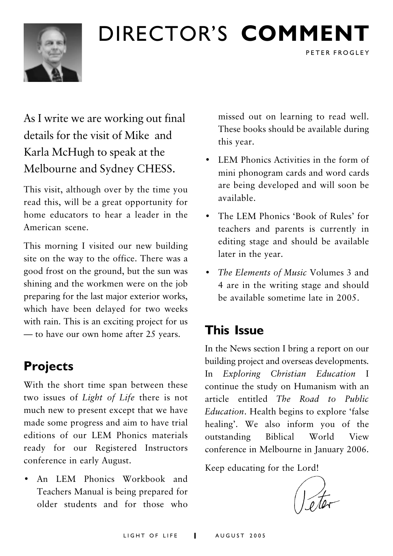## DIRECTOR'S COMMENT



## As I write we are working out final details for the visit of Mike, and Karla McHugh to speak at the Melbourne and Sydney CHESS.

This visit, although over by the time you read this, will be a great opportunity for home educators to hear a leader in the American scene.

This morning I visited our new building site on the way to the office. There was a good frost on the ground, but the sun was shining and the workmen were on the job preparing for the last major exterior works, which have been delayed for two weeks with rain. This is an exciting project for us - to have our own home after 25 years.

## **Projects**

With the short time span between these two issues of Light of Life there is not much new to present except that we have made some progress and aim to have trial editions of our LEM Phonics materials ready for our Registered Instructors conference in early August.

An LEM Phonics Workbook and Teachers Manual is being prepared for older students and for those who missed out on learning to read well. These books should be available during this year.

PETER FROGLEY

- LEM Phonics Activities in the form of mini phonogram cards and word cards are being developed and will soon be available
- The LEM Phonics 'Book of Rules' for teachers and parents is currently in editing stage and should be available later in the year.
- The Elements of Music Volumes 3 and 4 are in the writing stage and should be available sometime late in 2005.

### **This Issue**

In the News section I bring a report on our building project and overseas developments. Exploring Christian Education I In continue the study on Humanism with an article entitled The Road to Public Education. Health begins to explore 'false healing'. We also inform you of the outstanding **Biblical** World View conference in Melbourne in January 2006.

Keep educating for the Lord!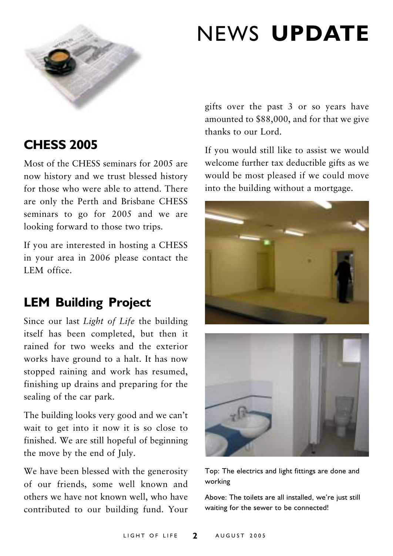

## **NEWS UPDATE**

### **CHESS 2005**

Most of the CHESS seminars for 2005 are now history and we trust blessed history for those who were able to attend. There are only the Perth and Brisbane CHESS seminars to go for 2005 and we are looking forward to those two trips.

If you are interested in hosting a CHESS in your area in 2006 please contact the LEM office

### **LEM Building Project**

Since our last Light of Life the building itself has been completed, but then it rained for two weeks and the exterior works have ground to a halt. It has now stopped raining and work has resumed, finishing up drains and preparing for the sealing of the car park.

The building looks very good and we can't wait to get into it now it is so close to finished. We are still hopeful of beginning the move by the end of July.

We have been blessed with the generosity of our friends, some well known and others we have not known well, who have contributed to our building fund. Your gifts over the past 3 or so years have amounted to \$88,000, and for that we give thanks to our Lord

If you would still like to assist we would welcome further tax deductible gifts as we would be most pleased if we could move into the building without a mortgage.



Top: The electrics and light fittings are done and working

Above: The toilets are all installed, we're just still waiting for the sewer to be connected!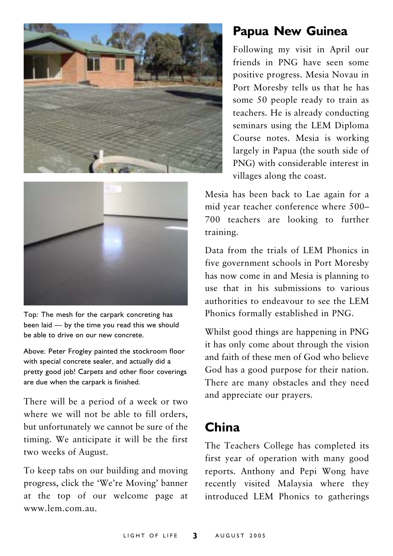



Top: The mesh for the carpark concreting has been laid - by the time you read this we should be able to drive on our new concrete.

Above: Peter Frogley painted the stockroom floor with special concrete sealer, and actually did a pretty good job! Carpets and other floor coverings are due when the carpark is finished.

There will be a period of a week or two where we will not be able to fill orders. but unfortunately we cannot be sure of the timing. We anticipate it will be the first two weeks of August.

To keep tabs on our building and moving progress, click the 'We're Moving' banner at the top of our welcome page at www lem com au

### **Papua New Guinea**

Following my visit in April our friends in PNG have seen some positive progress. Mesia Novau in Port Moresby tells us that he has some 50 people ready to train as teachers. He is already conducting seminars using the LEM Diploma Course notes. Mesia is working largely in Papua (the south side of PNG) with considerable interest in villages along the coast.

Mesia has been back to Lae again for a mid year teacher conference where 500-700 teachers are looking to further training.

Data from the trials of LEM Phonics in five government schools in Port Moresby has now come in and Mesia is planning to use that in his submissions to various authorities to endeavour to see the LEM Phonics formally established in PNG.

Whilst good things are happening in PNG it has only come about through the vision and faith of these men of God who believe God has a good purpose for their nation. There are many obstacles and they need and appreciate our prayers.

### China

The Teachers College has completed its first year of operation with many good reports. Anthony and Pepi Wong have recently visited Malaysia where they introduced LEM Phonics to gatherings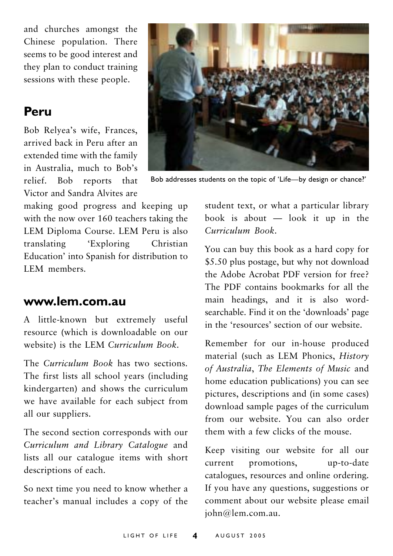and churches amongst the Chinese population. There seems to be good interest and they plan to conduct training sessions with these people.

### Peru

Bob Relyea's wife, Frances, arrived back in Peru after an extended time with the family in Australia, much to Bob's relief. Bob reports that Victor and Sandra Alvites are

making good progress and keeping up with the now over 160 teachers taking the LEM Diploma Course, LEM Peru is also translating **Exploring** Christian Education' into Spanish for distribution to LEM members

#### www.lem.com.au

A little-known but extremely useful resource (which is downloadable on our website) is the LEM Curriculum Book.

The Curriculum Book has two sections The first lists all school years (including kindergarten) and shows the curriculum we have available for each subject from all our suppliers.

The second section corresponds with our Curriculum and Library Catalogue and lists all our catalogue items with short descriptions of each.

So next time you need to know whether a teacher's manual includes a copy of the



Bob addresses students on the topic of 'Life-by design or chance?'

student text, or what a particular library book is about  $-$  look it up in the Curriculum Book.

You can buy this book as a hard copy for \$5.50 plus postage, but why not download the Adobe Acrobat PDF version for free? The PDF contains bookmarks for all the main headings, and it is also wordsearchable. Find it on the 'downloads' page in the 'resources' section of our website

Remember for our in-house produced material (such as LEM Phonics, History of Australia, The Elements of Music and home education publications) you can see pictures, descriptions and (in some cases) download sample pages of the curriculum from our website. You can also order them with a few clicks of the mouse.

Keep visiting our website for all our current promotions, up-to-date catalogues, resources and online ordering. If you have any questions, suggestions or comment about our website please email john@lem.com.au.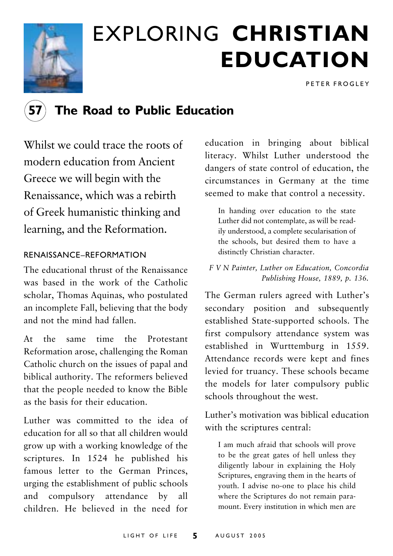

## **EXPLORING CHRISTIAN EDUCATION**

PETER FROGLEY

### The Road to Public Education

Whilst we could trace the roots of modern education from Ancient Greece we will begin with the Renaissance, which was a rebirth of Greek humanistic thinking and learning, and the Reformation.

#### RENAISSANCE-REFORMATION

The educational thrust of the Renaissance was based in the work of the Catholic scholar, Thomas Aquinas, who postulated an incomplete Fall, believing that the body and not the mind had fallen.

 $At$  the same time the Protestant Reformation arose, challenging the Roman Catholic church on the issues of papal and biblical authority. The reformers believed that the people needed to know the Bible as the basis for their education

Luther was committed to the idea of education for all so that all children would grow up with a working knowledge of the scriptures. In 1524 he published his famous letter to the German Princes, urging the establishment of public schools and compulsory attendance by all children. He believed in the need for

education in bringing about biblical literacy. Whilst Luther understood the dangers of state control of education, the circumstances in Germany at the time seemed to make that control a necessity.

In handing over education to the state Luther did not contemplate, as will be readily understood, a complete secularisation of the schools, but desired them to have a distinctly Christian character.

F V N Painter, Luther on Education, Concordia Publishing House, 1889, p. 136.

The German rulers agreed with Luther's secondary position and subsequently established State-supported schools. The first compulsory attendance system was established in Wurttemburg in 1559. Attendance records were kept and fines levied for truancy. These schools became the models for later compulsory public schools throughout the west.

Luther's motivation was biblical education with the scriptures central:

I am much afraid that schools will prove to be the great gates of hell unless they diligently labour in explaining the Holy Scriptures, engraving them in the hearts of youth. I advise no-one to place his child where the Scriptures do not remain paramount. Every institution in which men are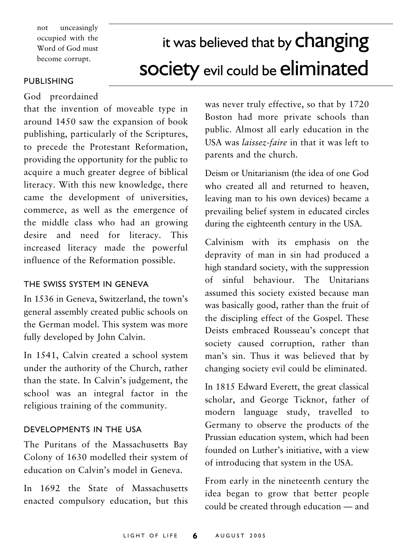unceasingly  $not$ occupied with the Word of God must become corrupt.

## it was believed that by **changing society** evil could be eliminated

#### PUBLISHING

God preordained

that the invention of moveable type in around 1450 saw the expansion of book publishing, particularly of the Scriptures, to precede the Protestant Reformation, providing the opportunity for the public to acquire a much greater degree of biblical literacy. With this new knowledge, there came the development of universities. commerce, as well as the emergence of the middle class who had an growing desire and need for literacy. This increased literacy made the powerful influence of the Reformation possible.

#### THE SWISS SYSTEM IN GENEVA

In 1536 in Geneva, Switzerland, the town's general assembly created public schools on the German model. This system was more fully developed by John Calvin.

In 1541, Calvin created a school system under the authority of the Church, rather than the state. In Calvin's judgement, the school was an integral factor in the religious training of the community.

#### DEVELOPMENTS IN THE USA

The Puritans of the Massachusetts Bay Colony of 1630 modelled their system of education on Calvin's model in Geneva

In 1692 the State of Massachusetts enacted compulsory education, but this

was never truly effective, so that by 1720 Boston had more private schools than public. Almost all early education in the USA was *laissez-faire* in that it was left to parents and the church

Deism or Unitarianism (the idea of one God who created all and returned to heaven. leaving man to his own devices) became a prevailing belief system in educated circles during the eighteenth century in the USA.

Calvinism with its emphasis on the depravity of man in sin had produced a high standard society, with the suppression of sinful behaviour. The Unitarians assumed this society existed because man was basically good, rather than the fruit of the discipling effect of the Gospel. These Deists embraced Rousseau's concept that society caused corruption, rather than man's sin. Thus it was believed that by changing society evil could be eliminated.

In 1815 Edward Everett, the great classical scholar, and George Ticknor, father of modern language study, travelled to Germany to observe the products of the Prussian education system, which had been founded on Luther's initiative, with a view of introducing that system in the USA.

From early in the nineteenth century the idea began to grow that better people could be created through education - and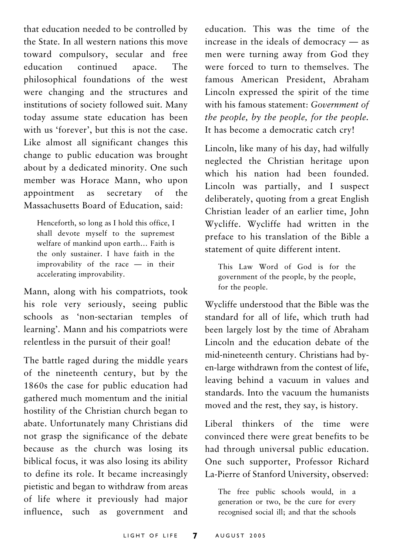that education needed to be controlled by the State. In all western nations this move toward compulsory, secular and free education continued apace. The philosophical foundations of the west were changing and the structures and institutions of society followed suit. Many today assume state education has been with us 'forever', but this is not the case. Like almost all significant changes this change to public education was brought about by a dedicated minority. One such member was Horace Mann, who upon secretary  $\alpha$ f the appointment as Massachusetts Board of Education, said:

Henceforth, so long as I hold this office, I shall devote myself to the supremest welfare of mankind upon earth... Faith is the only sustainer. I have faith in the improvability of the race - in their accelerating improvability.

Mann, along with his compatriots, took his role very seriously, seeing public schools as 'non-sectarian temples of learning'. Mann and his compatriots were relentless in the pursuit of their goal!

The battle raged during the middle years of the nineteenth century, but by the 1860s the case for public education had gathered much momentum and the initial hostility of the Christian church began to abate. Unfortunately many Christians did not grasp the significance of the debate because as the church was losing its biblical focus, it was also losing its ability to define its role. It became increasingly pietistic and began to withdraw from areas of life where it previously had major influence, such as government and

education. This was the time of the increase in the ideals of democracy  $-$  as men were turning away from God they were forced to turn to themselves. The famous American President. Abraham Lincoln expressed the spirit of the time with his famous statement: Government of the people, by the people, for the people. It has become a democratic catch cry!

Lincoln, like many of his day, had wilfully neglected the Christian heritage upon which his nation had been founded. Lincoln was partially, and I suspect deliberately, quoting from a great English Christian leader of an earlier time, John Wycliffe. Wycliffe had written in the preface to his translation of the Bible a statement of quite different intent.

This Law Word of God is for the government of the people, by the people, for the people.

Wycliffe understood that the Bible was the standard for all of life, which truth had been largely lost by the time of Abraham Lincoln and the education debate of the mid-nineteenth century. Christians had byen-large withdrawn from the contest of life, leaving behind a vacuum in values and standards. Into the vacuum the humanists moved and the rest, they say, is history.

Liberal thinkers of the time were convinced there were great benefits to be had through universal public education. One such supporter, Professor Richard La-Pierre of Stanford University, observed:

The free public schools would, in a generation or two, be the cure for every recognised social ill; and that the schools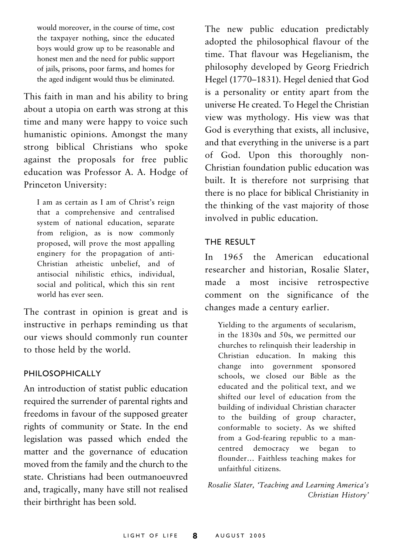would moreover, in the course of time, cost the taxpayer nothing, since the educated boys would grow up to be reasonable and honest men and the need for public support of jails, prisons, poor farms, and homes for the aged indigent would thus be eliminated.

This faith in man and his ability to bring about a utopia on earth was strong at this time and many were happy to voice such humanistic opinions. Amongst the many strong biblical Christians who spoke against the proposals for free public education was Professor A. A. Hodge of Princeton University:

I am as certain as I am of Christ's reign that a comprehensive and centralised system of national education, separate from religion, as is now commonly proposed, will prove the most appalling enginery for the propagation of anti-Christian atheistic unbelief, and of antisocial nihilistic ethics, individual, social and political, which this sin rent world has ever seen.

The contrast in opinion is great and is instructive in perhaps reminding us that our views should commonly run counter to those held by the world.

#### PHILOSOPHICALLY

An introduction of statist public education required the surrender of parental rights and freedoms in favour of the supposed greater rights of community or State. In the end legislation was passed which ended the matter and the governance of education moved from the family and the church to the state Christians had been outmanoeuvred and, tragically, many have still not realised their birthright has been sold.

The new public education predictably adopted the philosophical flavour of the time. That flavour was Hegelianism, the philosophy developed by Georg Friedrich Hegel (1770–1831). Hegel denied that God is a personality or entity apart from the universe He created. To Hegel the Christian view was mythology. His view was that God is everything that exists, all inclusive, and that everything in the universe is a part of God. Upon this thoroughly non-Christian foundation public education was built. It is therefore not surprising that there is no place for biblical Christianity in the thinking of the vast majority of those involved in public education.

#### THE RESULT

In 1965 the American educational researcher and historian, Rosalie Slater, made a most incisive retrospective comment on the significance of the changes made a century earlier.

Yielding to the arguments of secularism, in the 1830s and 50s, we permitted our churches to relinquish their leadership in Christian education. In making this change into government sponsored schools, we closed our Bible as the educated and the political text, and we shifted our level of education from the building of individual Christian character to the building of group character, conformable to society. As we shifted from a God-fearing republic to a mancentred democracy we began to flounder... Faithless teaching makes for unfaithful citizens.

Rosalie Slater, 'Teaching and Learning America's Christian History'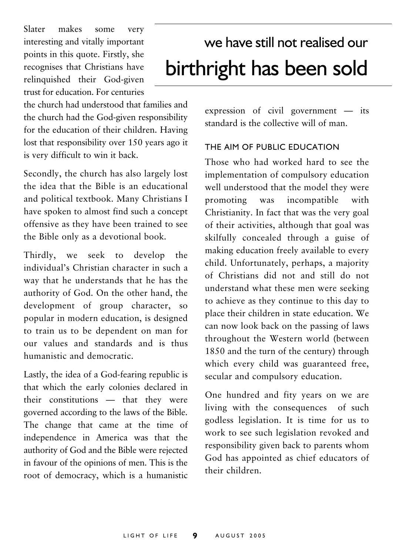Slater makes some very interesting and vitally important points in this quote. Firstly, she recognises that Christians have relinquished their God-given trust for education. For centuries

the church had understood that families and the church had the God-given responsibility for the education of their children. Having lost that responsibility over 150 years ago it is very difficult to win it back.

Secondly, the church has also largely lost the idea that the Bible is an educational and political textbook. Many Christians I have spoken to almost find such a concept offensive as they have been trained to see the Bible only as a devotional book.

Thirdly. we seek to develop the individual's Christian character in such a way that he understands that he has the authority of God. On the other hand, the development of group character, so popular in modern education, is designed to train us to be dependent on man for our values and standards and is thus humanistic and democratic.

Lastly, the idea of a God-fearing republic is that which the early colonies declared in their constitutions - that they were governed according to the laws of the Bible. The change that came at the time of independence in America was that the authority of God and the Bible were rejected in favour of the opinions of men. This is the root of democracy, which is a humanistic

## we have still not realised our birthright has been sold

expression of civil government  $-$  its standard is the collective will of man

#### THE AIM OF PUBLIC EDUCATION

Those who had worked hard to see the implementation of compulsory education well understood that the model they were promoting was incompatible with Christianity. In fact that was the very goal of their activities, although that goal was skilfully concealed through a guise of making education freely available to every child. Unfortunately, perhaps, a majority of Christians did not and still do not understand what these men were seeking to achieve as they continue to this day to place their children in state education. We can now look back on the passing of laws throughout the Western world (between 1850 and the turn of the century) through which every child was guaranteed free, secular and compulsory education.

One hundred and fity years on we are living with the consequences of such godless legislation. It is time for us to work to see such legislation revoked and responsibility given back to parents whom God has appointed as chief educators of their children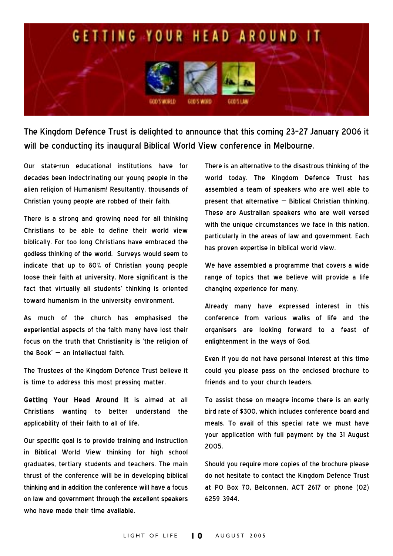

The Kingdom Defence Trust is delighted to announce that this coming 23-27 January 2006 it will be conducting its inaugural Biblical World View conference in Melbourne.

Our state-run educational institutions have for decades been indoctrinating our voung people in the alien religion of Humanism! Resultantly, thousands of Christian young people are robbed of their faith.

There is a strong and growing need for all thinking Christians to be able to define their world view biblically. For too long Christians have embraced the godless thinking of the world. Surveys would seem to indicate that up to 80% of Christian young people loose their faith at university. More significant is the fact that virtually all students' thinking is oriented toward humanism in the university environment.

As much of the church has emphasised the experiential aspects of the faith many have lost their focus on the truth that Christianity is 'the religion of the Book' - an intellectual faith.

The Trustees of the Kingdom Defence Trust believe it is time to address this most pressing matter.

Getting Your Head Around It is aimed at all Christians wanting to better understand the applicability of their faith to all of life.

Our specific goal is to provide training and instruction in Biblical World View thinking for high school graduates, tertiary students and teachers. The main thrust of the conference will be in developing biblical thinking and in addition the conference will have a focus on law and government through the excellent speakers who have made their time available.

There is an alternative to the disastrous thinking of the world today. The Kingdom Defence Trust has assembled a team of speakers who are well able to present that alternative - Biblical Christian thinking. These are Australian speakers who are well versed with the unique circumstances we face in this nation. particularly in the areas of law and government. Each has proven expertise in biblical world view.

We have assembled a programme that covers a wide range of topics that we believe will provide a life changing experience for many.

Already many have expressed interest in this conference from various walks of life and the organisers are looking forward to a feast of enlightenment in the ways of God.

Even if you do not have personal interest at this time could you please pass on the enclosed brochure to friends and to your church leaders.

To assist those on meagre income there is an early bird rate of \$300, which includes conference board and meals. To avail of this special rate we must have your application with full payment by the 31 August 2005.

Should you require more copies of the brochure please do not hesitate to contact the Kingdom Defence Trust at PO Box 70, Belconnen, ACT 2617 or phone (02) 6259 3944.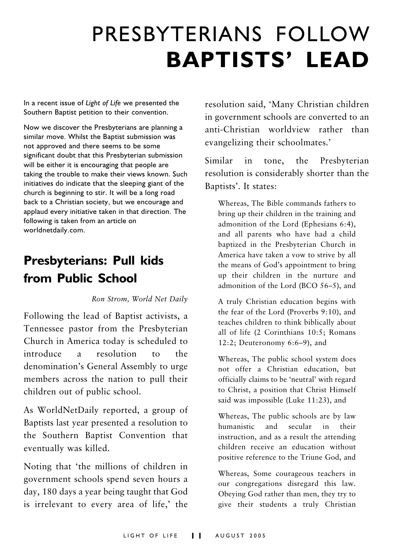## PRESBYTERIANS FOLLOW **BAPTISTS' LEAD**

In a recent issue of Light of Life we presented the Southern Baptist petition to their convention.

Now we discover the Presbyterians are planning a similar move. Whilst the Baptist submission was not approved and there seems to be some significant doubt that this Presbyterian submission will be either it is encouraging that people are taking the trouble to make their views known. Such initiatives do indicate that the sleeping giant of the church is beginning to stir. It will be a long road back to a Christian society, but we encourage and applaud every initiative taken in that direction. The following is taken from an article on worldnetdaily.com.

## **Presbyterians: Pull kids** from Public School

#### Ron Strom, World Net Daily

Following the lead of Baptist activists, a Tennessee pastor from the Presbyterian Church in America today is scheduled to introduce  $\overline{a}$ resolution  $\overline{10}$  $the$ denomination's General Assembly to urge members across the nation to pull their children out of public school.

As WorldNetDaily reported, a group of Baptists last year presented a resolution to the Southern Baptist Convention that eventually was killed.

Noting that 'the millions of children in government schools spend seven hours a day, 180 days a year being taught that God is irrelevant to every area of life,' the

resolution said, 'Many Christian children in government schools are converted to an anti-Christian worldview rather than evangelizing their schoolmates.'

Similar  $in$ tone, the Presbyterian resolution is considerably shorter than the Baptists'. It states:

Whereas, The Bible commands fathers to bring up their children in the training and admonition of the Lord (Ephesians 6:4). and all parents who have had a child baptized in the Presbyterian Church in America have taken a vow to strive by all the means of God's appointment to bring up their children in the nurture and admonition of the Lord (BCO 56-5), and

A truly Christian education begins with the fear of the Lord (Proverbs 9:10), and teaches children to think biblically about all of life (2 Corinthians 10:5; Romans 12:2; Deuteronomy  $6:6-9$ ), and

Whereas, The public school system does not offer a Christian education, but officially claims to be 'neutral' with regard to Christ, a position that Christ Himself said was impossible (Luke 11:23), and

Whereas, The public schools are by law humanistic and secular in their instruction, and as a result the attending children receive an education without positive reference to the Triune God, and

Whereas, Some courageous teachers in our congregations disregard this law. Obeying God rather than men, they try to give their students a truly Christian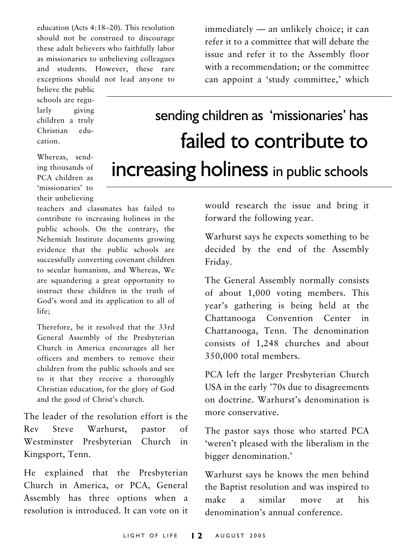education (Acts 4:18-20). This resolution should not be construed to discourage these adult believers who faithfully labor as missionaries to unbelieving colleagues and students. However, these rare exceptions should not lead anyone to

believe the public schools are regularly giving children a truly Christian  $edu$ cation

Whereas, sending thousands of PCA children as 'missionaries' to their unbelieving

teachers and classmates has failed to contribute to increasing holiness in the public schools. On the contrary, the Nehemiah Institute documents growing evidence that the public schools are successfully converting covenant children to secular humanism, and Whereas, We are squandering a great opportunity to instruct these children in the truth of God's word and its application to all of life:

Therefore, be it resolved that the 33rd General Assembly of the Presbyterian Church in America encourages all her officers and members to remove their children from the public schools and see to it that they receive a thoroughly Christian education, for the glory of God and the good of Christ's church.

The leader of the resolution effort is the Steve Warhurst.  $Rev$ pastor  $\alpha$ Westminster Presbyterian Church in Kingsport, Tenn.

He explained that the Presbyterian Church in America, or PCA, General Assembly has three options when a resolution is introduced. It can vote on it immediately - an unlikely choice; it can refer it to a committee that will debate the issue and refer it to the Assembly floor with a recommendation; or the committee can appoint a 'study committee,' which

## sending children as 'missionaries' has failed to contribute to **increasing holiness** in public schools

would research the issue and bring it forward the following year.

Warhurst says he expects something to be decided by the end of the Assembly Friday.

The General Assembly normally consists of about 1,000 voting members. This year's gathering is being held at the Chattanooga Convention Center in Chattanooga, Tenn. The denomination consists of 1,248 churches and about 350,000 total members.

PCA left the larger Presbyterian Church USA in the early '70s due to disagreements on doctrine. Warhurst's denomination is more conservative

The pastor says those who started PCA 'weren't pleased with the liberalism in the bigger denomination.'

Warhurst says he knows the men behind the Baptist resolution and was inspired to make similar  $\mathbf{a}$ move at. his denomination's annual conference.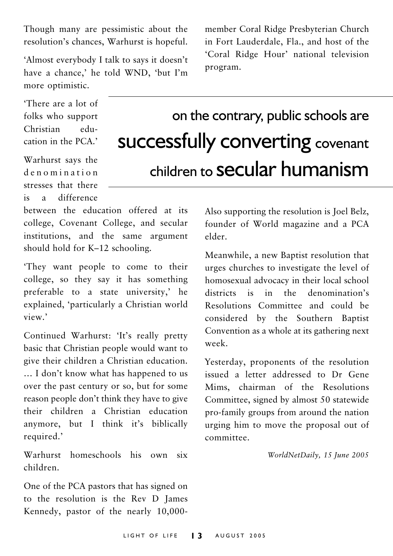Though many are pessimistic about the resolution's chances, Warhurst is hopeful.

'Almost everybody I talk to says it doesn't have a chance,' he told WND, 'but I'm more optimistic.

There are a lot of folks who support Christian  $edu$ cation in the PCA'

Warhurst says the denomination stresses that there difference  $is$  $\overline{a}$ 

between the education offered at its college, Covenant College, and secular institutions, and the same argument should hold for K-12 schooling.

'They want people to come to their college, so they say it has something preferable to a state university,' he explained, 'particularly a Christian world view'

Continued Warhurst: 'It's really pretty basic that Christian people would want to give their children a Christian education. ... I don't know what has happened to us over the past century or so, but for some reason people don't think they have to give their children a Christian education anymore, but I think it's biblically required.'

Warhurst homeschools his own six  $children$ 

One of the PCA pastors that has signed on to the resolution is the Rev D James Kennedy, pastor of the nearly 10,000-

member Coral Ridge Presbyterian Church in Fort Lauderdale, Fla., and host of the 'Coral Ridge Hour' national television program.

## on the contrary, public schools are **successfully converting covenant** children to **Secular** humanism

Also supporting the resolution is Joel Belz, founder of World magazine and a PCA  $elder$ 

Meanwhile, a new Baptist resolution that urges churches to investigate the level of homosexual advocacy in their local school districts is in the denomination's Resolutions Committee and could be considered by the Southern Baptist Convention as a whole at its gathering next week.

Yesterday, proponents of the resolution issued a letter addressed to Dr Gene Mims, chairman of the Resolutions Committee, signed by almost 50 statewide pro-family groups from around the nation urging him to move the proposal out of  $committer$ 

WorldNetDaily, 15 June 2005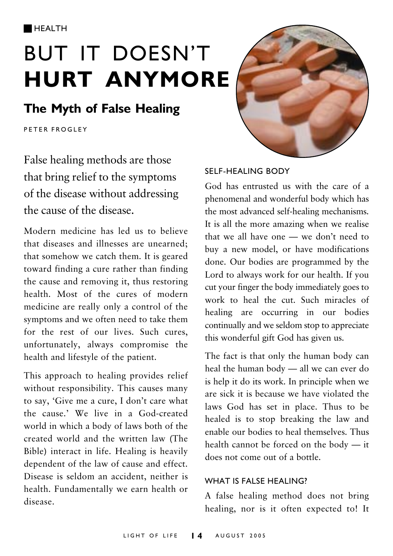**HEALTH** 

## **BUT IT DOESN'T HURT ANYMORE**

### The Myth of False Healing

**PFTER FROGLEY** 

False healing methods are those that bring relief to the symptoms of the disease without addressing the cause of the disease

Modern medicine has led us to believe that diseases and illnesses are unearned: that somehow we catch them. It is geared toward finding a cure rather than finding the cause and removing it, thus restoring health. Most of the cures of modern medicine are really only a control of the symptoms and we often need to take them for the rest of our lives. Such cures, unfortunately, always compromise the health and lifestyle of the patient.

This approach to healing provides relief without responsibility. This causes many to say, 'Give me a cure, I don't care what the cause.' We live in a God-created world in which a body of laws both of the created world and the written law (The Bible) interact in life. Healing is heavily dependent of the law of cause and effect. Disease is seldom an accident, neither is health. Fundamentally we earn health or disease



#### SELF-HEALING BODY

God has entrusted us with the care of a phenomenal and wonderful body which has the most advanced self-healing mechanisms. It is all the more amazing when we realise that we all have one - we don't need to buy a new model, or have modifications done. Our bodies are programmed by the Lord to always work for our health. If you cut your finger the body immediately goes to work to heal the cut. Such miracles of healing are occurring in our bodies continually and we seldom stop to appreciate this wonderful gift God has given us.

The fact is that only the human body can heal the human body - all we can ever do is help it do its work. In principle when we are sick it is because we have violated the laws God has set in place. Thus to be healed is to stop breaking the law and enable our bodies to heal themselves. Thus health cannot be forced on the body - it does not come out of a bottle

#### WHAT IS FALSE HEALING?

A false healing method does not bring healing, nor is it often expected to! It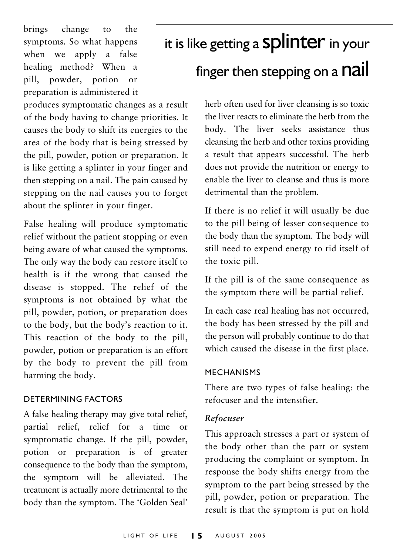brings change  $\overline{t}$ the symptoms. So what happens when we apply a false healing method? When a pill, powder, potion or preparation is administered it

produces symptomatic changes as a result of the body having to change priorities. It causes the body to shift its energies to the area of the body that is being stressed by the pill, powder, potion or preparation. It is like getting a splinter in your finger and then stepping on a nail. The pain caused by stepping on the nail causes you to forget about the splinter in your finger.

False healing will produce symptomatic relief without the patient stopping or even being aware of what caused the symptoms. The only way the body can restore itself to health is if the wrong that caused the disease is stopped. The relief of the symptoms is not obtained by what the pill, powder, potion, or preparation does to the body, but the body's reaction to it. This reaction of the body to the pill, powder, potion or preparation is an effort by the body to prevent the pill from harming the body.

#### **DETERMINING FACTORS**

A false healing therapy may give total relief, partial relief, relief for a time or symptomatic change. If the pill, powder, potion or preparation is of greater consequence to the body than the symptom, the symptom will be alleviated. The treatment is actually more detrimental to the body than the symptom. The 'Golden Seal'

## it is like getting a Splinter in your

## finger then stepping on a **nail**

herb often used for liver cleansing is so toxic the liver reacts to eliminate the herb from the body. The liver seeks assistance thus cleansing the herb and other toxins providing a result that appears successful. The herb does not provide the nutrition or energy to enable the liver to cleanse and thus is more detrimental than the problem.

If there is no relief it will usually be due to the pill being of lesser consequence to the body than the symptom. The body will still need to expend energy to rid itself of the toxic pill.

If the pill is of the same consequence as the symptom there will be partial relief.

In each case real healing has not occurred, the body has been stressed by the pill and the person will probably continue to do that which caused the disease in the first place.

#### **MECHANISMS**

There are two types of false healing: the refocuser and the intensifier

#### Refocuser

This approach stresses a part or system of the body other than the part or system producing the complaint or symptom. In response the body shifts energy from the symptom to the part being stressed by the pill, powder, potion or preparation. The result is that the symptom is put on hold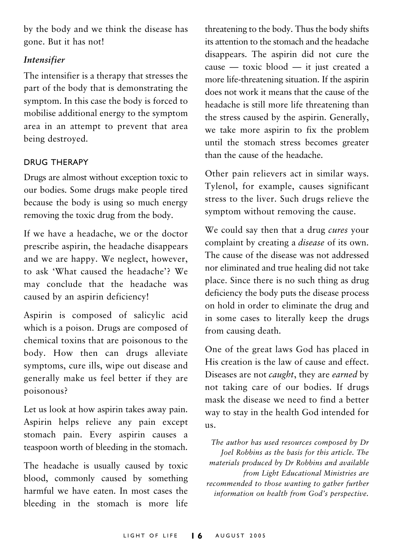by the body and we think the disease has gone. But it has not!

#### **Intensifier**

The intensifier is a therapy that stresses the part of the body that is demonstrating the symptom. In this case the body is forced to mobilise additional energy to the symptom area in an attempt to prevent that area being destroyed.

#### **DRUG THERAPY**

Drugs are almost without exception toxic to our bodies. Some drugs make people tired because the body is using so much energy removing the toxic drug from the body.

If we have a headache, we or the doctor prescribe aspirin, the headache disappears and we are happy. We neglect, however. to ask 'What caused the headache'? We may conclude that the headache was caused by an aspirin deficiency!

Aspirin is composed of salicylic acid which is a poison. Drugs are composed of chemical toxins that are poisonous to the body. How then can drugs alleviate symptoms, cure ills, wipe out disease and generally make us feel better if they are poisonous?

Let us look at how aspirin takes away pain. Aspirin helps relieve any pain except stomach pain. Every aspirin causes a teaspoon worth of bleeding in the stomach.

The headache is usually caused by toxic blood, commonly caused by something harmful we have eaten. In most cases the bleeding in the stomach is more life

threatening to the body. Thus the body shifts its attention to the stomach and the headache disappears. The aspirin did not cure the cause - toxic blood - it just created a more life-threatening situation. If the aspirin does not work it means that the cause of the headache is still more life threatening than the stress caused by the aspirin. Generally, we take more aspirin to fix the problem until the stomach stress becomes greater than the cause of the headache.

Other pain relievers act in similar ways. Tylenol, for example, causes significant stress to the liver. Such drugs relieve the symptom without removing the cause.

We could say then that a drug cures your complaint by creating a *disease* of its own. The cause of the disease was not addressed nor eliminated and true healing did not take place. Since there is no such thing as drug deficiency the body puts the disease process on hold in order to eliminate the drug and in some cases to literally keep the drugs from causing death.

One of the great laws God has placed in His creation is the law of cause and effect. Diseases are not *caught*, they are *earned* by not taking care of our bodies. If drugs mask the disease we need to find a better way to stay in the health God intended for  $11S.$ 

The author has used resources composed by Dr Joel Robbins as the basis for this article. The materials produced by Dr Robbins and available from Light Educational Ministries are recommended to those wanting to gather further information on health from God's perspective.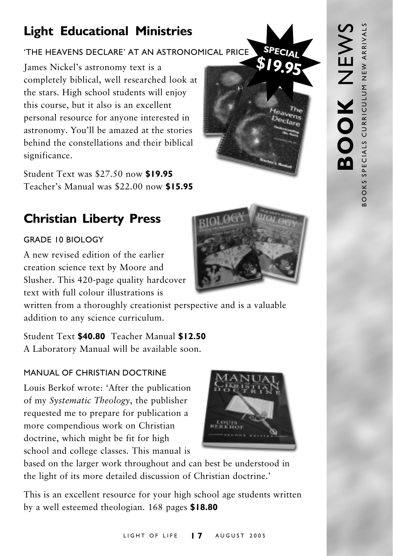## **Light Educational Ministries**

#### 'THE HEAVENS DECLARE' AT AN ASTRONOMICAL PRICE

James Nickel's astronomy text is a completely biblical, well researched look at the stars. High school students will enjoy this course, but it also is an excellent personal resource for anyone interested in astronomy. You'll be amazed at the stories behind the constellations and their biblical significance.

Student Text was \$27.50 now \$19.95 Teacher's Manual was \$22.00 now \$15.95

## **Christian Liberty Press**

#### GRADE 10 BIOLOGY

A new revised edition of the earlier creation science text by Moore and Slusher. This 420-page quality hardcover text with full colour illustrations is

written from a thoroughly creationist perspective and is a valuable addition to any science curriculum.

Student Text \$40.80 Teacher Manual \$12.50 A Laboratory Manual will be available soon.

#### MANUAL OF CHRISTIAN DOCTRINE

Louis Berkof wrote: 'After the publication of my Systematic Theology, the publisher requested me to prepare for publication a more compendious work on Christian doctrine, which might be fit for high school and college classes. This manual is



This is an excellent resource for your high school age students written by a well esteemed theologian. 168 pages \$18.80



**SPECIAL** 

**SI99** 

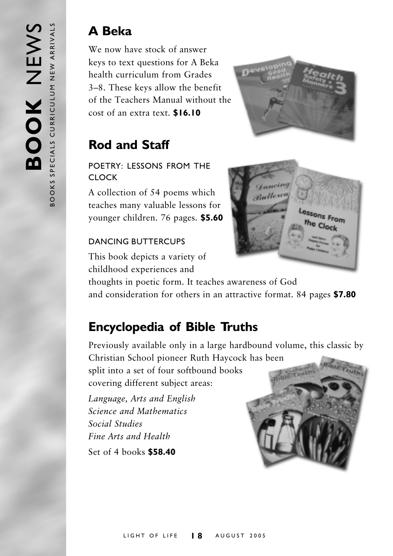### **A** Beka

We now have stock of answer keys to text questions for A Beka health curriculum from Grades 3-8. These keys allow the benefit of the Teachers Manual without the cost of an extra text. \$16.10



## **Rod and Staff**

#### POFTRY: LESSONS FROM THE **CLOCK**

A collection of 54 poems which teaches many valuable lessons for vounger children. 76 pages. \$5.60

#### DANCING BUTTERCUPS

This book depicts a variety of childhood experiences and



thoughts in poetic form. It teaches awareness of God and consideration for others in an attractive format. 84 pages \$7.80

## **Encyclopedia of Bible Truths**

Previously available only in a large hardbound volume, this classic by Christian School pioneer Ruth Haycock has been split into a set of four softbound books Light out covering different subject areas:

Language, Arts and English Science and Mathematics Social Studies Fine Arts and Health Set of 4 books \$58.40

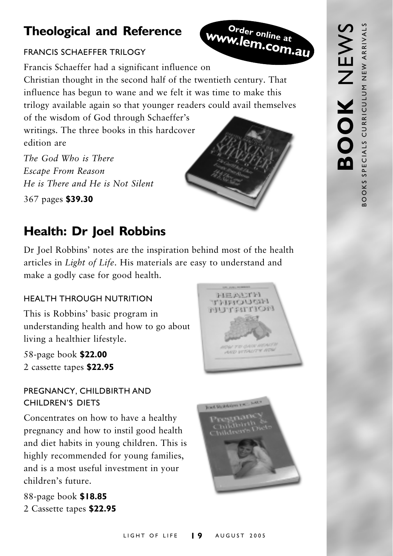## **Theological and Reference**

#### **FRANCIS SCHAFFFFR TRILOGY**

Order online at www.lem.com.au



Francis Schaeffer had a significant influence on Christian thought in the second half of the twentieth century. That influence has begun to wane and we felt it was time to make this trilogy available again so that younger readers could avail themselves of the wisdom of God through Schaeffer's

writings. The three books in this hardcover edition are

The God Who is There Escape From Reason He is There and He is Not Silent

367 pages \$39.30

## **Health: Dr Joel Robbins**

Dr Joel Robbins' notes are the inspiration behind most of the health articles in *Light of Life*. His materials are easy to understand and make a godly case for good health.

#### **HEALTH THROUGH NUTRITION**

This is Robbins' basic program in understanding health and how to go about living a healthier lifestyle.

58-page book \$22.00 2 cassette tapes \$22.95

#### PREGNANCY, CHILDBIRTH AND CHILDREN'S DIFTS

Concentrates on how to have a healthy pregnancy and how to instil good health and diet habits in young children. This is highly recommended for young families, and is a most useful investment in your children's future.

88-page book \$18.85 2 Cassette tapes \$22.95



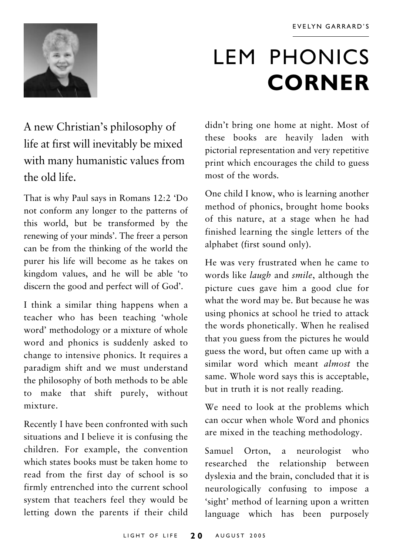

## **LEM PHONICS CORNER**

A new Christian's philosophy of life at first will inevitably be mixed with many humanistic values from the old life.

That is why Paul says in Romans 12:2 'Do not conform any longer to the patterns of this world, but be transformed by the renewing of your minds'. The freer a person can be from the thinking of the world the purer his life will become as he takes on kingdom values, and he will be able 'to discern the good and perfect will of God'.

I think a similar thing happens when a teacher who has been teaching 'whole word' methodology or a mixture of whole word and phonics is suddenly asked to change to intensive phonics. It requires a paradigm shift and we must understand the philosophy of both methods to be able to make that shift purely, without mixture

Recently I have been confronted with such situations and I believe it is confusing the children. For example, the convention which states books must be taken home to read from the first day of school is so firmly entrenched into the current school system that teachers feel they would be letting down the parents if their child

didn't bring one home at night. Most of these books are heavily laden with pictorial representation and very repetitive print which encourages the child to guess most of the words.

One child I know, who is learning another method of phonics, brought home books of this nature, at a stage when he had finished learning the single letters of the alphabet (first sound only).

He was very frustrated when he came to words like laugh and smile, although the picture cues gave him a good clue for what the word may be. But because he was using phonics at school he tried to attack the words phonetically. When he realised that you guess from the pictures he would guess the word, but often came up with a similar word which meant *almost* the same. Whole word says this is acceptable, but in truth it is not really reading.

We need to look at the problems which can occur when whole Word and phonics are mixed in the teaching methodology.

Samuel Orton, a neurologist who researched the relationship between dyslexia and the brain, concluded that it is neurologically confusing to impose a 'sight' method of learning upon a written language which has been purposely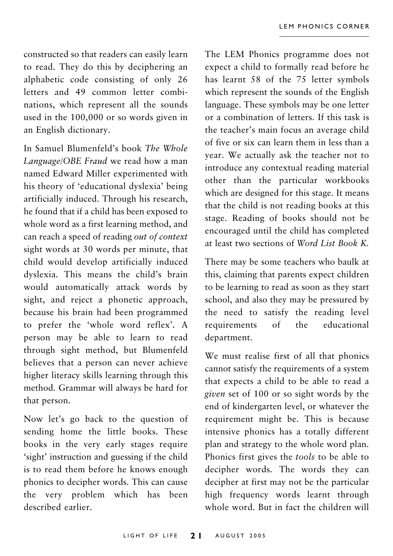constructed so that readers can easily learn to read. They do this by deciphering an alphabetic code consisting of only 26 letters and 49 common letter combinations, which represent all the sounds used in the 100,000 or so words given in an English dictionary.

In Samuel Blumenfeld's book The Whole Language/OBE Fraud we read how a man named Edward Miller experimented with his theory of 'educational dyslexia' being artificially induced. Through his research, he found that if a child has been exposed to whole word as a first learning method, and can reach a speed of reading out of context sight words at 30 words per minute, that child would develop artificially induced dyslexia. This means the child's brain would automatically attack words by sight, and reject a phonetic approach, because his brain had been programmed to prefer the 'whole word reflex'. A person may be able to learn to read through sight method, but Blumenfeld believes that a person can never achieve higher literacy skills learning through this method. Grammar will always be hard for that person.

Now let's go back to the question of sending home the little books. These books in the very early stages require 'sight' instruction and guessing if the child is to read them before he knows enough phonics to decipher words. This can cause the very problem which has been described earlier.

The LEM Phonics programme does not expect a child to formally read before he has learnt 58 of the 75 letter symbols which represent the sounds of the English language. These symbols may be one letter or a combination of letters. If this task is the teacher's main focus an average child of five or six can learn them in less than a year. We actually ask the teacher not to introduce any contextual reading material other than the particular workbooks which are designed for this stage. It means that the child is not reading books at this stage. Reading of books should not be encouraged until the child has completed at least two sections of Word List Book K.

There may be some teachers who baulk at this, claiming that parents expect children to be learning to read as soon as they start school, and also they may be pressured by the need to satisfy the reading level requirements  $\alpha$ f the educational department.

We must realise first of all that phonics cannot satisfy the requirements of a system that expects a child to be able to read a given set of 100 or so sight words by the end of kindergarten level, or whatever the requirement might be. This is because intensive phonics has a totally different plan and strategy to the whole word plan. Phonics first gives the tools to be able to decipher words. The words they can decipher at first may not be the particular high frequency words learnt through whole word. But in fact the children will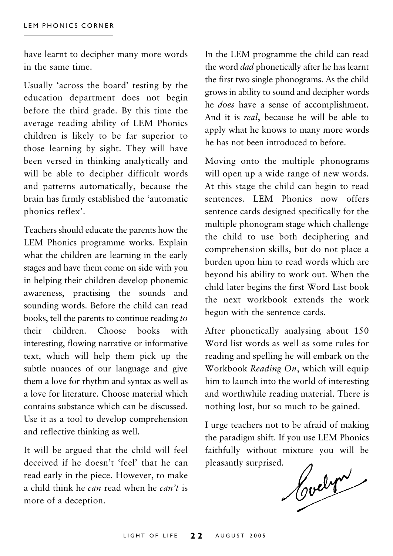have learnt to decipher many more words in the same time.

Usually 'across the board' testing by the education department does not begin before the third grade. By this time the average reading ability of LEM Phonics children is likely to be far superior to those learning by sight. They will have been versed in thinking analytically and will be able to decipher difficult words and patterns automatically, because the brain has firmly established the 'automatic phonics reflex'.

Teachers should educate the parents how the LEM Phonics programme works. Explain what the children are learning in the early stages and have them come on side with you in helping their children develop phonemic awareness, practising the sounds and sounding words. Before the child can read books, tell the parents to continue reading to Choose books with their children. interesting, flowing narrative or informative text, which will help them pick up the subtle nuances of our language and give them a love for rhythm and syntax as well as a love for literature. Choose material which contains substance which can be discussed. Use it as a tool to develop comprehension and reflective thinking as well.

It will be argued that the child will feel deceived if he doesn't 'feel' that he can read early in the piece. However, to make a child think he can read when he can't is more of a deception.

In the LEM programme the child can read the word *dad* phonetically after he has learnt the first two single phonograms. As the child grows in ability to sound and decipher words he does have a sense of accomplishment. And it is *real*, because he will be able to apply what he knows to many more words he has not been introduced to before.

Moving onto the multiple phonograms will open up a wide range of new words. At this stage the child can begin to read sentences LEM Phonics now offers sentence cards designed specifically for the multiple phonogram stage which challenge the child to use both deciphering and comprehension skills, but do not place a burden upon him to read words which are beyond his ability to work out. When the child later begins the first Word List book the next workbook extends the work begun with the sentence cards.

After phonetically analysing about 150 Word list words as well as some rules for reading and spelling he will embark on the Workbook Reading On, which will equip him to launch into the world of interesting and worthwhile reading material. There is nothing lost, but so much to be gained.

I urge teachers not to be afraid of making the paradigm shift. If you use LEM Phonics faithfully without mixture you will be pleasantly surprised.

Houdyn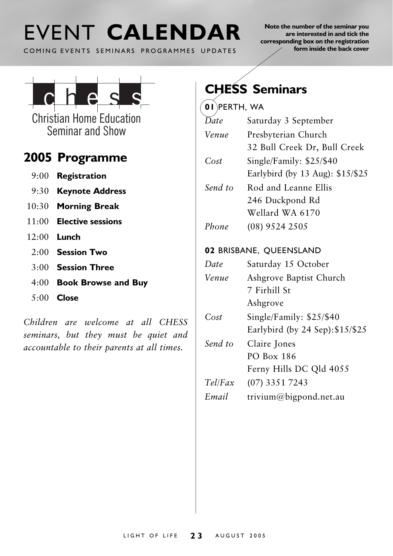## EVENT CALENDAR

COMING EVENTS SEMINARS PROGRAMMES UPDATES

Note the number of the seminar you are interested in and tick the corresponding box on the registration form inside the back cover



**Christian Home Education** Seminar and Show

### 2005 Programme

- $9:00$  Registration
- 9:30 Keynote Address
- 10:30 Morning Break
- $11:00$  Elective sessions
- $12:00$  Lunch
	- $2.00$  Session Two
	- $3.00$  Session Three
	- 4:00 Book Browse and Buy
	- $5:00$  Close

Children are welcome at all CHESS seminars, but they must be quiet and accountable to their parents at all times.

## **CHESS Seminars**

#### $\overline{01}$ PERTH, WA

- $\overline{D}$ ate Saturday 3 September Presbyterian Church Venue 32 Bull Creek Dr. Bull Creek  $Cost$ Single/Family: \$25/\$40 Earlybird (by 13 Aug): \$15/\$25 Send to Rod and Leanne Ellis 246 Duckpond Rd Wellard WA 6170  $Phono$  $(08)$  9524 2505 02 BRISBANE, QUEENSLAND Date Saturday 15 October Venue Ashgrove Baptist Church 7 Firhill St Ashgrove  $Cost$ Single/Family:  $$25/$40$ Earlybird (by 24 Sep): \$15/\$25 Send to Claire Jones **PO Box 186** 
	- Ferny Hills DC Qld 4055
- $Tel/Fax$  $(07)$  3351 7243
- Email trivium@bigpond.net.au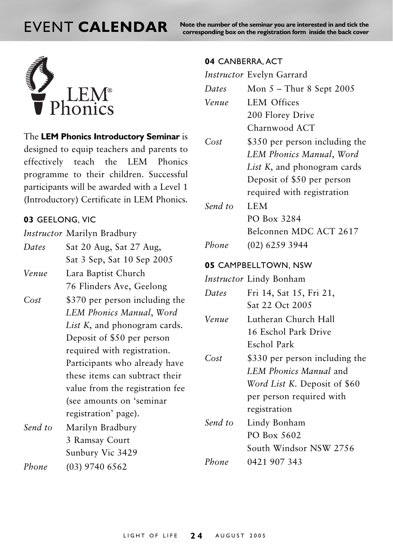## **FVENT CALENDAR**

Note the number of the seminar you are interested in and tick the corresponding box on the registration form inside the back cover



The LEM Phonics Introductory Seminar is designed to equip teachers and parents to effectively teach the LEM Phonics programme to their children. Successful participants will be awarded with a Level 1 (Introductory) Certificate in LEM Phonics.

#### 03 GEELONG, VIC

*Instructor* Marilyn Bradbury

Dates Sat 20 Aug, Sat 27 Aug, Sat 3 Sep, Sat 10 Sep 2005 Venue Lara Baptist Church

- 76 Flinders Ave, Geelong
- $Cost$ \$370 per person including the LEM Phonics Manual, Word List K, and phonogram cards. Deposit of \$50 per person required with registration. Participants who already have these items can subtract their value from the registration fee (see amounts on 'seminar registration' page).
- Send to Marilyn Bradbury 3 Ramsay Court Sunbury Vic 3429 Phone

 $(03)$  9740 6562

#### 04 CANBERRA, ACT

| <i>Instructor</i> Evelyn Garrard |
|----------------------------------|
| Mon $5$ – Thur 8 Sept 2005       |
| <b>LEM Offices</b>               |
| 200 Florey Drive                 |
| Charnwood ACT                    |
| \$350 per person including the   |
| LEM Phonics Manual, Word         |
| List K, and phonogram cards      |
| Deposit of \$50 per person       |
| required with registration       |
| <b>LEM</b>                       |
| PO Box 3284                      |
| Belconnen MDC ACT 2617           |
| (02) 6259 3944                   |
| 05 CAMPBELLTOWN, NSW             |
| Instructor Lindy Bonham          |
| Fri 14, Sat 15, Fri 21,          |
| Sat 22 Oct 2005                  |
| Lutheran Church Hall             |
| 16 Eschol Park Drive             |
| Eschol Park                      |
| \$330 per person including the   |
| LEM Phonics Manual and           |
| Word List K. Deposit of \$60     |
| per person required with         |
| registration                     |
| Lindy Bonham                     |
| PO Box 5602                      |
| South Windsor NSW 2756           |
| 0421 907 343                     |
|                                  |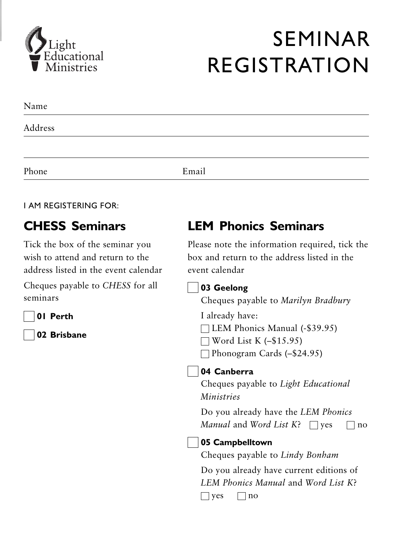

## **SEMINAR REGISTRATION**

| Name    |       |  |
|---------|-------|--|
| Address |       |  |
|         |       |  |
| Phone   | Email |  |

#### **I AM REGISTERING FOR:**

### **CHESS Seminars**

Tick the box of the seminar you wish to attend and return to the address listed in the event calendar

Cheques payable to CHESS for all seminars



02 Brisbane

### **LEM Phonics Seminars**

Please note the information required, tick the box and return to the address listed in the event calendar

| 03 Geelong                                              |
|---------------------------------------------------------|
| Cheques payable to Marilyn Bradbury                     |
| I already have:                                         |
| LEM Phonics Manual (-\$39.95)                           |
| $\exists$ Word List K (-\$15.95)                        |
| Phonogram Cards (-\$24.95)                              |
| 04 Canberra                                             |
| Cheques payable to Light Educational                    |
| <i>Ministries</i>                                       |
| Do you already have the LEM Phonics                     |
| <i>Manual</i> and <i>Word List K</i> ? $\Box$ yes<br>no |
| 05 Campbelltown                                         |
| Cheques payable to Lindy Bonham                         |
| Do you already have current editions of                 |
| LEM Phonics Manual and Word List K?                     |
| $ $ yes<br>no                                           |